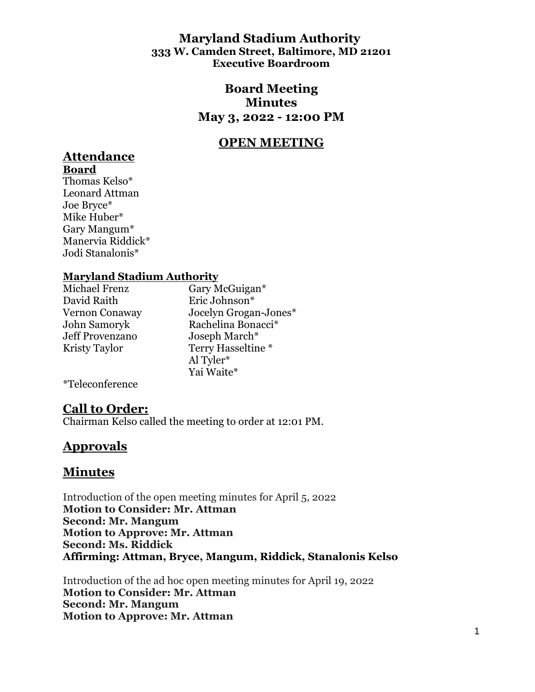## **Maryland Stadium Authority 333 W. Camden Street, Baltimore, MD 21201 Executive Boardroom**

## **Board Meeting Minutes May 3, 2022 - 12:00 PM**

# **OPEN MEETING**

# **Attendance**

**Board**  Thomas Kelso\* Leonard Attman Joe Bryce\* Mike Huber\* Gary Mangum\* Manervia Riddick\* Jodi Stanalonis\*

## **Maryland Stadium Authority**

David Raith Eric Johnson\* Jeff Provenzano Joseph March\*

Michael Frenz Gary McGuigan\* Vernon Conaway Jocelyn Grogan-Jones\* John Samoryk Rachelina Bonacci\* Kristy Taylor Terry Hasseltine \* Al Tyler\* Yai Waite\*

\*Teleconference

## **Call to Order:**

Chairman Kelso called the meeting to order at 12:01 PM.

## **Approvals**

## **Minutes**

Introduction of the open meeting minutes for April 5, 2022 **Motion to Consider: Mr. Attman Second: Mr. Mangum Motion to Approve: Mr. Attman Second: Ms. Riddick Affirming: Attman, Bryce, Mangum, Riddick, Stanalonis Kelso**

Introduction of the ad hoc open meeting minutes for April 19, 2022 **Motion to Consider: Mr. Attman Second: Mr. Mangum Motion to Approve: Mr. Attman**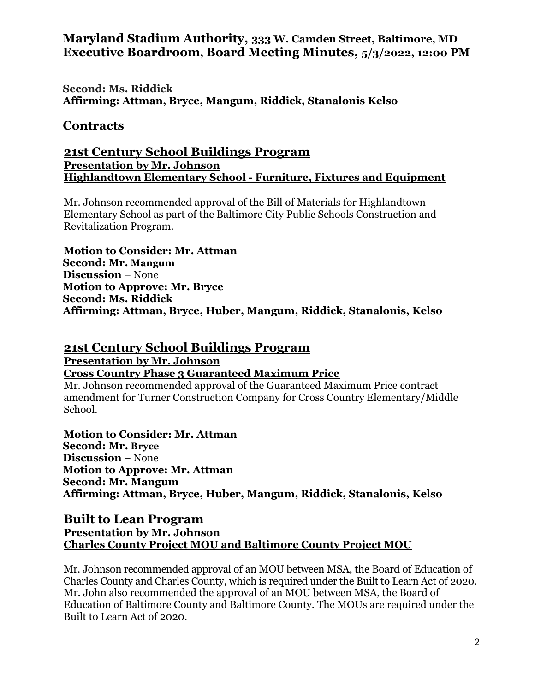**Second: Ms. Riddick Affirming: Attman, Bryce, Mangum, Riddick, Stanalonis Kelso**

## **Contracts**

## **21st Century School Buildings Program Presentation by Mr. Johnson Highlandtown Elementary School - Furniture, Fixtures and Equipment**

Mr. Johnson recommended approval of the Bill of Materials for Highlandtown Elementary School as part of the Baltimore City Public Schools Construction and Revitalization Program.

**Motion to Consider: Mr. Attman Second: Mr. Mangum Discussion** – None **Motion to Approve: Mr. Bryce Second: Ms. Riddick Affirming: Attman, Bryce, Huber, Mangum, Riddick, Stanalonis, Kelso**

## **21st Century School Buildings Program**

**Presentation by Mr. Johnson** 

## **Cross Country Phase 3 Guaranteed Maximum Price**

Mr. Johnson recommended approval of the Guaranteed Maximum Price contract amendment for Turner Construction Company for Cross Country Elementary/Middle School.

**Motion to Consider: Mr. Attman Second: Mr. Bryce Discussion** – None **Motion to Approve: Mr. Attman Second: Mr. Mangum Affirming: Attman, Bryce, Huber, Mangum, Riddick, Stanalonis, Kelso**

## **Built to Lean Program Presentation by Mr. Johnson Charles County Project MOU and Baltimore County Project MOU**

Mr. Johnson recommended approval of an MOU between MSA, the Board of Education of Charles County and Charles County, which is required under the Built to Learn Act of 2020. Mr. John also recommended the approval of an MOU between MSA, the Board of Education of Baltimore County and Baltimore County. The MOUs are required under the Built to Learn Act of 2020.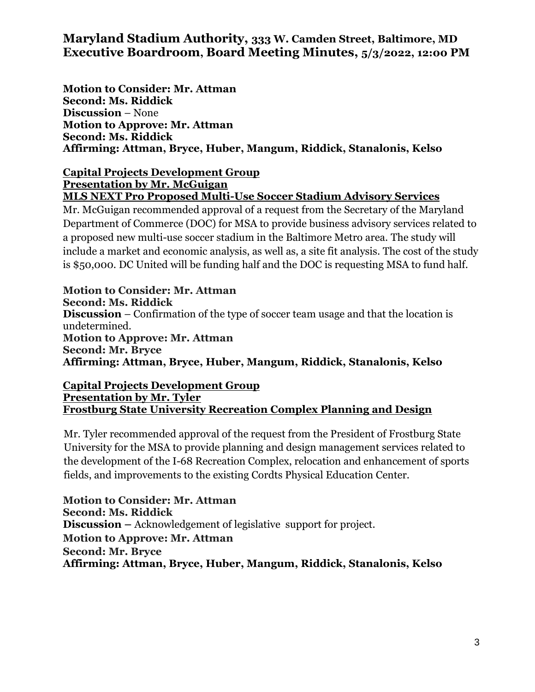**Motion to Consider: Mr. Attman Second: Ms. Riddick Discussion** – None **Motion to Approve: Mr. Attman Second: Ms. Riddick Affirming: Attman, Bryce, Huber, Mangum, Riddick, Stanalonis, Kelso**

#### **Capital Projects Development Group Presentation by Mr. McGuigan MLS NEXT Pro Proposed Multi-Use Soccer Stadium Advisory Services**

Mr. McGuigan recommended approval of a request from the Secretary of the Maryland Department of Commerce (DOC) for MSA to provide business advisory services related to a proposed new multi-use soccer stadium in the Baltimore Metro area. The study will include a market and economic analysis, as well as, a site fit analysis. The cost of the study is \$50,000. DC United will be funding half and the DOC is requesting MSA to fund half.

**Motion to Consider: Mr. Attman Second: Ms. Riddick Discussion** – Confirmation of the type of soccer team usage and that the location is undetermined. **Motion to Approve: Mr. Attman Second: Mr. Bryce Affirming: Attman, Bryce, Huber, Mangum, Riddick, Stanalonis, Kelso**

#### **Capital Projects Development Group Presentation by Mr. Tyler Frostburg State University Recreation Complex Planning and Design**

Mr. Tyler recommended approval of the request from the President of Frostburg State University for the MSA to provide planning and design management services related to the development of the I-68 Recreation Complex, relocation and enhancement of sports fields, and improvements to the existing Cordts Physical Education Center.

**Motion to Consider: Mr. Attman Second: Ms. Riddick Discussion –** Acknowledgement of legislative support for project. **Motion to Approve: Mr. Attman Second: Mr. Bryce Affirming: Attman, Bryce, Huber, Mangum, Riddick, Stanalonis, Kelso**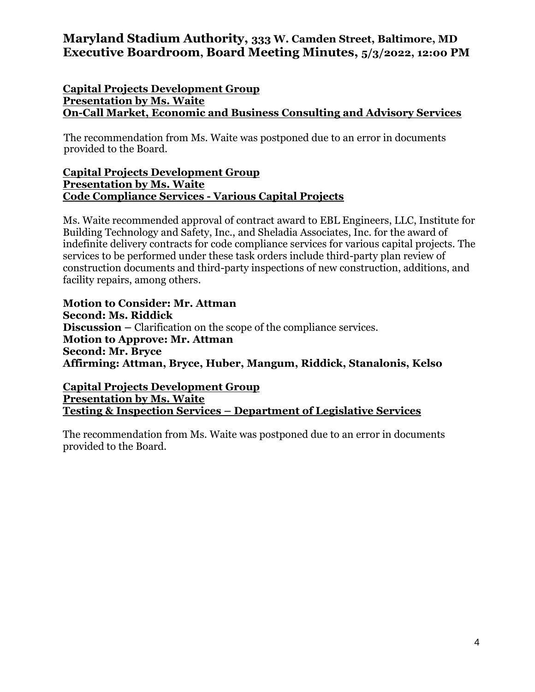## **Capital Projects Development Group Presentation by Ms. Waite On-Call Market, Economic and Business Consulting and Advisory Services**

The recommendation from Ms. Waite was postponed due to an error in documents provided to the Board.

#### **Capital Projects Development Group Presentation by Ms. Waite Code Compliance Services - Various Capital Projects**

Ms. Waite recommended approval of contract award to EBL Engineers, LLC, Institute for Building Technology and Safety, Inc., and Sheladia Associates, Inc. for the award of indefinite delivery contracts for code compliance services for various capital projects. The services to be performed under these task orders include third-party plan review of construction documents and third-party inspections of new construction, additions, and facility repairs, among others.

**Motion to Consider: Mr. Attman Second: Ms. Riddick Discussion –** Clarification on the scope of the compliance services. **Motion to Approve: Mr. Attman Second: Mr. Bryce Affirming: Attman, Bryce, Huber, Mangum, Riddick, Stanalonis, Kelso**

**Capital Projects Development Group Presentation by Ms. Waite Testing & Inspection Services – Department of Legislative Services**

The recommendation from Ms. Waite was postponed due to an error in documents provided to the Board.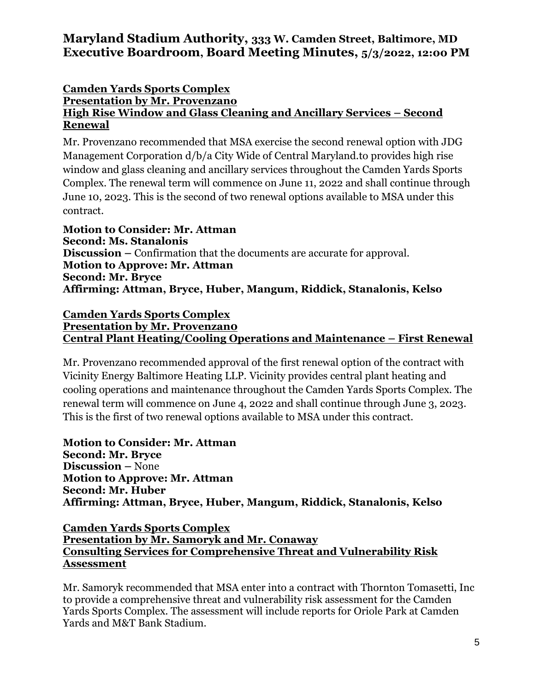#### **Camden Yards Sports Complex Presentation by Mr. Provenzano High Rise Window and Glass Cleaning and Ancillary Services – Second Renewal**

Mr. Provenzano recommended that MSA exercise the second renewal option with JDG Management Corporation d/b/a City Wide of Central Maryland.to provides high rise window and glass cleaning and ancillary services throughout the Camden Yards Sports Complex. The renewal term will commence on June 11, 2022 and shall continue through June 10, 2023. This is the second of two renewal options available to MSA under this contract.

**Motion to Consider: Mr. Attman Second: Ms. Stanalonis Discussion –** Confirmation that the documents are accurate for approval. **Motion to Approve: Mr. Attman Second: Mr. Bryce Affirming: Attman, Bryce, Huber, Mangum, Riddick, Stanalonis, Kelso**

#### **Camden Yards Sports Complex Presentation by Mr. Provenzan0 Central Plant Heating/Cooling Operations and Maintenance – First Renewal**

Mr. Provenzano recommended approval of the first renewal option of the contract with Vicinity Energy Baltimore Heating LLP. Vicinity provides central plant heating and cooling operations and maintenance throughout the Camden Yards Sports Complex. The renewal term will commence on June 4, 2022 and shall continue through June 3, 2023. This is the first of two renewal options available to MSA under this contract.

**Motion to Consider: Mr. Attman Second: Mr. Bryce Discussion –** None **Motion to Approve: Mr. Attman Second: Mr. Huber Affirming: Attman, Bryce, Huber, Mangum, Riddick, Stanalonis, Kelso**

### **Camden Yards Sports Complex Presentation by Mr. Samoryk and Mr. Conaway Consulting Services for Comprehensive Threat and Vulnerability Risk Assessment**

Mr. Samoryk recommended that MSA enter into a contract with Thornton Tomasetti, Inc to provide a comprehensive threat and vulnerability risk assessment for the Camden Yards Sports Complex. The assessment will include reports for Oriole Park at Camden Yards and M&T Bank Stadium.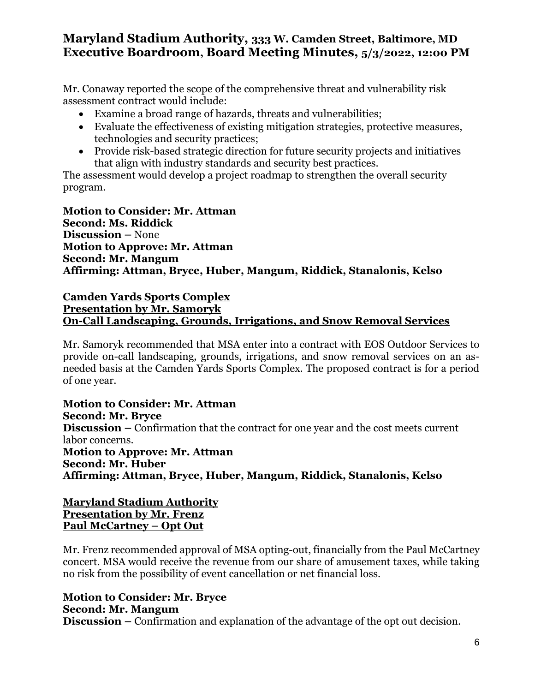Mr. Conaway reported the scope of the comprehensive threat and vulnerability risk assessment contract would include:

- Examine a broad range of hazards, threats and vulnerabilities;
- Evaluate the effectiveness of existing mitigation strategies, protective measures, technologies and security practices;
- Provide risk-based strategic direction for future security projects and initiatives that align with industry standards and security best practices.

The assessment would develop a project roadmap to strengthen the overall security program.

**Motion to Consider: Mr. Attman Second: Ms. Riddick Discussion –** None **Motion to Approve: Mr. Attman Second: Mr. Mangum Affirming: Attman, Bryce, Huber, Mangum, Riddick, Stanalonis, Kelso**

#### **Camden Yards Sports Complex Presentation by Mr. Samoryk On-Call Landscaping, Grounds, Irrigations, and Snow Removal Services**

Mr. Samoryk recommended that MSA enter into a contract with EOS Outdoor Services to provide on-call landscaping, grounds, irrigations, and snow removal services on an asneeded basis at the Camden Yards Sports Complex. The proposed contract is for a period of one year.

**Motion to Consider: Mr. Attman Second: Mr. Bryce Discussion –** Confirmation that the contract for one year and the cost meets current labor concerns. **Motion to Approve: Mr. Attman Second: Mr. Huber Affirming: Attman, Bryce, Huber, Mangum, Riddick, Stanalonis, Kelso**

#### **Maryland Stadium Authority Presentation by Mr. Frenz Paul McCartney – Opt Out**

Mr. Frenz recommended approval of MSA opting-out, financially from the Paul McCartney concert. MSA would receive the revenue from our share of amusement taxes, while taking no risk from the possibility of event cancellation or net financial loss.

# **Motion to Consider: Mr. Bryce**

**Second: Mr. Mangum**

**Discussion –** Confirmation and explanation of the advantage of the opt out decision.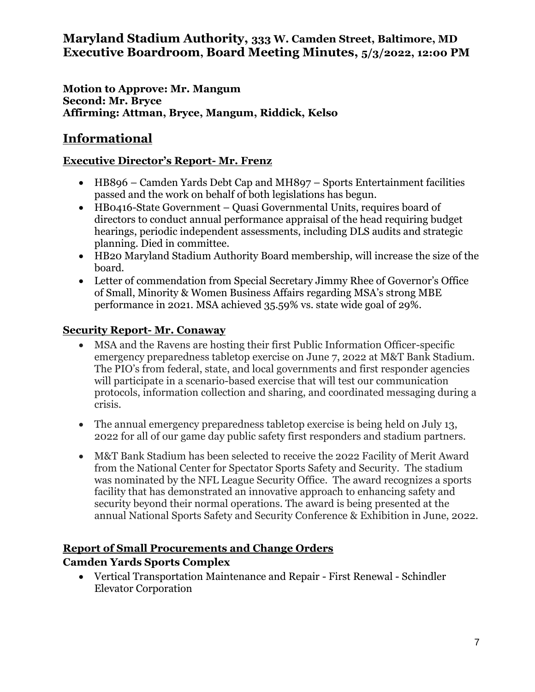**Motion to Approve: Mr. Mangum Second: Mr. Bryce Affirming: Attman, Bryce, Mangum, Riddick, Kelso**

# **Informational**

## **Executive Director's Report- Mr. Frenz**

- HB896 Camden Yards Debt Cap and MH897 Sports Entertainment facilities passed and the work on behalf of both legislations has begun.
- HB0416-State Government Quasi Governmental Units, requires board of directors to conduct annual performance appraisal of the head requiring budget hearings, periodic independent assessments, including DLS audits and strategic planning. Died in committee.
- HB20 Maryland Stadium Authority Board membership, will increase the size of the board.
- Letter of commendation from Special Secretary Jimmy Rhee of Governor's Office of Small, Minority & Women Business Affairs regarding MSA's strong MBE performance in 2021. MSA achieved 35.59% vs. state wide goal of 29%.

## **Security Report- Mr. Conaway**

- MSA and the Ravens are hosting their first Public Information Officer-specific emergency preparedness tabletop exercise on June 7, 2022 at M&T Bank Stadium. The PIO's from federal, state, and local governments and first responder agencies will participate in a scenario-based exercise that will test our communication protocols, information collection and sharing, and coordinated messaging during a crisis.
- The annual emergency preparedness tabletop exercise is being held on July 13, 2022 for all of our game day public safety first responders and stadium partners.
- M&T Bank Stadium has been selected to receive the 2022 Facility of Merit Award from the National Center for Spectator Sports Safety and Security. The stadium was nominated by the NFL League Security Office. The award recognizes a sports facility that has demonstrated an innovative approach to enhancing safety and security beyond their normal operations. The award is being presented at the annual National Sports Safety and Security Conference & Exhibition in June, 2022.

# **Report of Small Procurements and Change Orders**

# **Camden Yards Sports Complex**

 Vertical Transportation Maintenance and Repair - First Renewal - Schindler Elevator Corporation